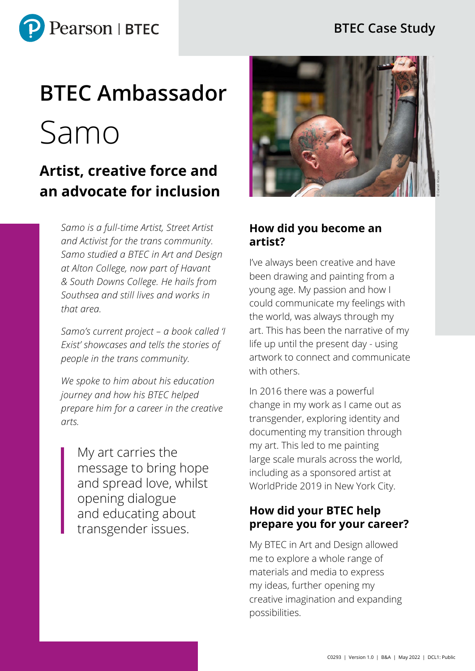

### **BTEC Case Study**

# **BTEC Ambassador**  Samo

## **Artist, creative force and an advocate for inclusion**

*Samo is a full-time Artist, Street Artist and Activist for the trans community. Samo studied a BTEC in Art and Design at Alton College, now part of Havant & South Downs College. He hails from Southsea and still lives and works in that area.* 

*Samo's current project – a book called 'I Exist' showcases and tells the stories of people in the trans community.* 

*We spoke to him about his education journey and how his BTEC helped prepare him for a career in the creative arts.* 

My art carries the message to bring hope and spread love, whilst opening dialogue and educating about transgender issues.



#### **How did you become an artist?**

I've always been creative and have been drawing and painting from a young age. My passion and how I could communicate my feelings with the world, was always through my art. This has been the narrative of my life up until the present day - using artwork to connect and communicate with others.

In 2016 there was a powerful change in my work as I came out as transgender, exploring identity and documenting my transition through my art. This led to me painting large scale murals across the world, including as a sponsored artist at WorldPride 2019 in New York City.

#### **How did your BTEC help prepare you for your career?**

My BTEC in Art and Design allowed me to explore a whole range of materials and media to express my ideas, further opening my creative imagination and expanding possibilities.